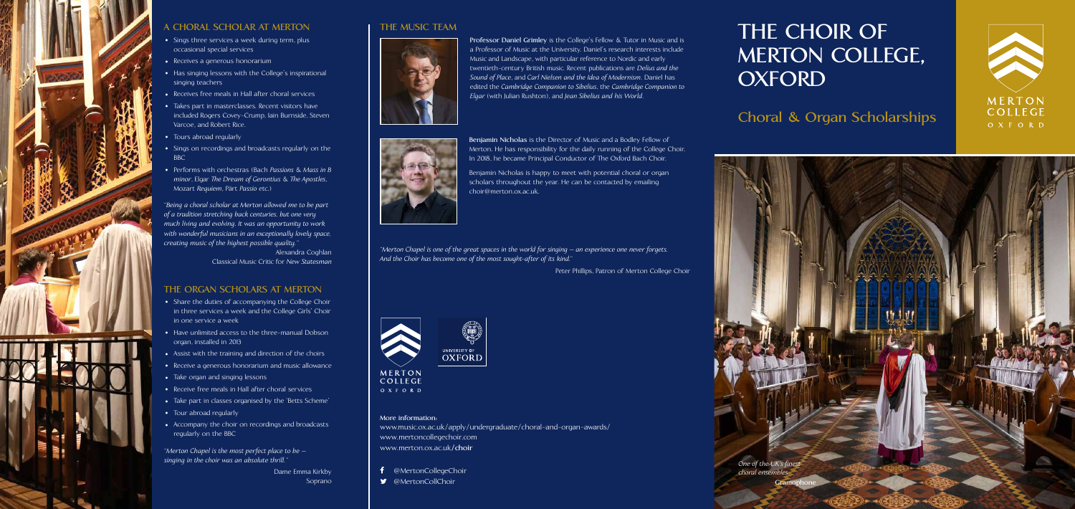# **THE CHOIR OF MERTON COLLEGE, OXFORD**

**Choral & Organ Scholarships**







### **A CHORAL SCHOLAR AT MERTON**

- **•** Sings three services a week during term, plus occasional special services
- **•** Receives a generous honorarium
- **•** Has singing lessons with the College's inspirational singing teachers
- **•** Receives free meals in Hall after choral services
- **•** Takes part in masterclasses. Recent visitors have included Rogers Covey-Crump, Iain Burnside, Steven Varcoe, and Robert Rice.
- **•** Tours abroad regularly
- **•** Sings on recordings and broadcasts regularly on the **BBC**
- **•** Performs with orchestras (Bach *Passions* & *Mass in B minor*, Elgar *The Dream of Gerontius* & *The Apostles*, Mozart *Requiem*, Pärt *Passio* etc.)

*"Being a choral scholar at Merton allowed me to be part of a tradition stretching back centuries, but one very much living and evolving. It was an opportunity to work*  with wonderful musicians in an exceptionally lovely space, *creating music of the highest possible quality."*

> Alexandra Coghlan Classical Music Critic for *New Statesman*

## **THE ORGAN SCHOLARS AT MERTON**

- **•** Share the duties of accompanying the College Choir in three services a week and the College Girls' Choir in one service a week
- **•** Have unlimited access to the three-manual Dobson organ, installed in 2013
- **•** Assist with the training and direction of the choirs
- **•** Receive a generous honorarium and music allowance
- **•** Take organ and singing lessons
- **•** Receive free meals in Hall after choral services
- **•** Take part in classes organised by the 'Betts Scheme'
- **•** Tour abroad regularly
- **•** Accompany the choir on recordings and broadcasts regularly on the BBC

*"Merton Chapel is the most perfect place to be – singing in the choir was an absolute thrill."*

> Dame Emma Kirkby Soprano

## **THE MUSIC TEAM**



**Professor Daniel Grimley** is the College's Fellow & Tutor in Music and is a Professor of Music at the University. Daniel's research interests include Music and Landscape, with particular reference to Nordic and early twentieth-century British music. Recent publications are *Delius and the Sound of Place*, and *Carl Nielsen and the Idea of Modernism*. Daniel has edited the *Cambridge Companion to Sibelius*, the *Cambridge Companion to Elgar* (with Julian Rushton), and *Jean Sibelius and his World*.



**Benjamin Nicholas** is the Director of Music and a Bodley Fellow of Merton. He has responsibility for the daily running of the College Choir. In 2018, he became Principal Conductor of The Oxford Bach Choir.

Benjamin Nicholas is happy to meet with potential choral or organ scholars throughout the year. He can be contacted by emailing choir@merton.ox.ac.uk.

### **More information:**

www.music.ox.ac.uk/apply/undergraduate/choral-and-organ-awards/ www.mertoncollegechoir.com www.merton.ox.ac.uk**/choir**

f @MertonCollegeChoir

**W** @MertonCollChoir

*choral ensembl* 

*"Merton Chapel is one of the great spaces in the world for singing –an experience one never forgets. And the Choir has become one of the most sought-after of its kind."*

Peter Phillips, Patron of Merton College Choir



### MERTON COLLEGE OXFORD